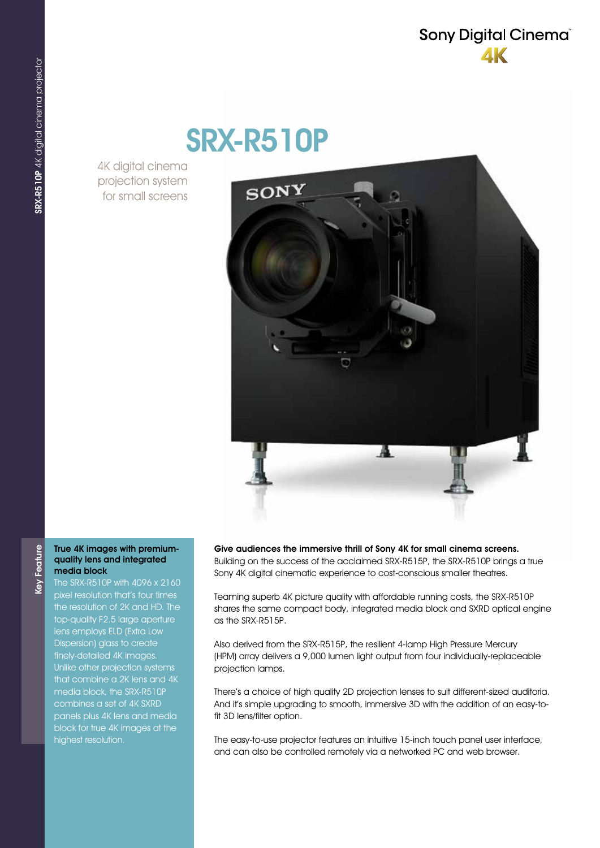## Sony Digital Cinema® **AK**

# SRX-R510P

4K digital cinema projection system for small screens



#### True 4K images with premiumquality lens and integrated media block

Feature

Key<sup>1</sup>

The SRX-R510P with 4096 x 2160 pixel resolution that's four times the resolution of 2K and HD. The top-quality F2.5 large aperture lens employs ELD (Extra Low Dispersion) glass to create finely-detailed 4K images. Unlike other projection systems that combine a 2K lens and 4K media block, the SRX-R510P combines a set of 4K SXRD panels plus 4K lens and media block for true 4K images at the highest resolution.

Give audiences the immersive thrill of Sony 4K for small cinema screens. Building on the success of the acclaimed SRX-R515P, the SRX-R510P brings a true Sony 4K digital cinematic experience to cost-conscious smaller theatres.

Teaming superb 4K picture quality with affordable running costs, the SRX-R510P shares the same compact body, integrated media block and SXRD optical engine as the SRX-R515P.

Also derived from the SRX-R515P, the resilient 4-lamp High Pressure Mercury (HPM) array delivers a 9,000 lumen light output from four individually-replaceable projection lamps.

There's a choice of high quality 2D projection lenses to suit different-sized auditoria. And it's simple upgrading to smooth, immersive 3D with the addition of an easy-tofit 3D lens/filter option.

The easy-to-use projector features an intuitive 15-inch touch panel user interface, and can also be controlled remotely via a networked PC and web browser.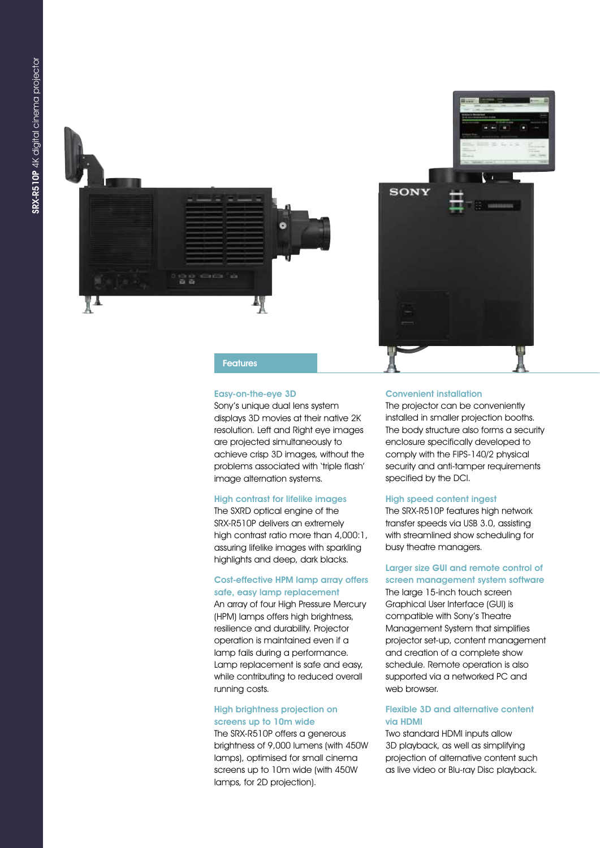



Features

#### Easy-on-the-eye 3D

Sony's unique dual lens system displays 3D movies at their native 2K resolution. Left and Right eye images are projected simultaneously to achieve crisp 3D images, without the problems associated with 'triple flash' image alternation systems.

#### High contrast for lifelike images

The SXRD optical engine of the SRX-R510P delivers an extremely high contrast ratio more than 4,000:1, assuring lifelike images with sparkling highlights and deep, dark blacks.

#### Cost-effective HPM lamp array offers safe, easy lamp replacement

An array of four High Pressure Mercury (HPM) lamps offers high brightness, resilience and durability. Projector operation is maintained even if a lamp fails during a performance. Lamp replacement is safe and easy, while contributing to reduced overall running costs.

#### High brightness projection on screens up to 10m wide

The SRX-R510P offers a generous brightness of 9,000 lumens (with 450W lamps), optimised for small cinema screens up to 10m wide (with 450W lamps, for 2D projection).

#### Convenient installation

The projector can be conveniently installed in smaller projection booths. The body structure also forms a security enclosure specifically developed to comply with the FIPS-140/2 physical security and anti-tamper requirements specified by the DCI.

#### High speed content ingest

The SRX-R510P features high network transfer speeds via USB 3.0, assisting with streamlined show scheduling for busy theatre managers.

### Larger size GUI and remote control of

screen management system software The large 15-inch touch screen Graphical User Interface (GUI) is compatible with Sony's Theatre Management System that simplifies projector set-up, content management and creation of a complete show schedule. Remote operation is also supported via a networked PC and web browser.

#### Flexible 3D and alternative content via HDMI

Two standard HDMI inputs allow 3D playback, as well as simplifying projection of alternative content such as live video or Blu-ray Disc playback.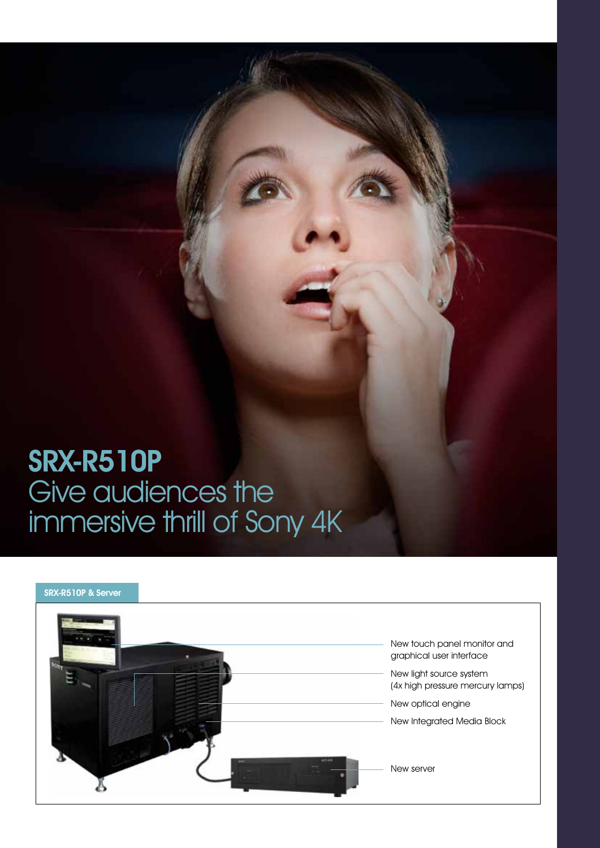# SRX-R510P Give audiences the immersive thrill of Sony 4K

# SRX-R510P & ServerNew touch panel monitor and graphical user interface New light source system (4x high pressure mercury lamps) New optical engine New Integrated Media Block New server Ă